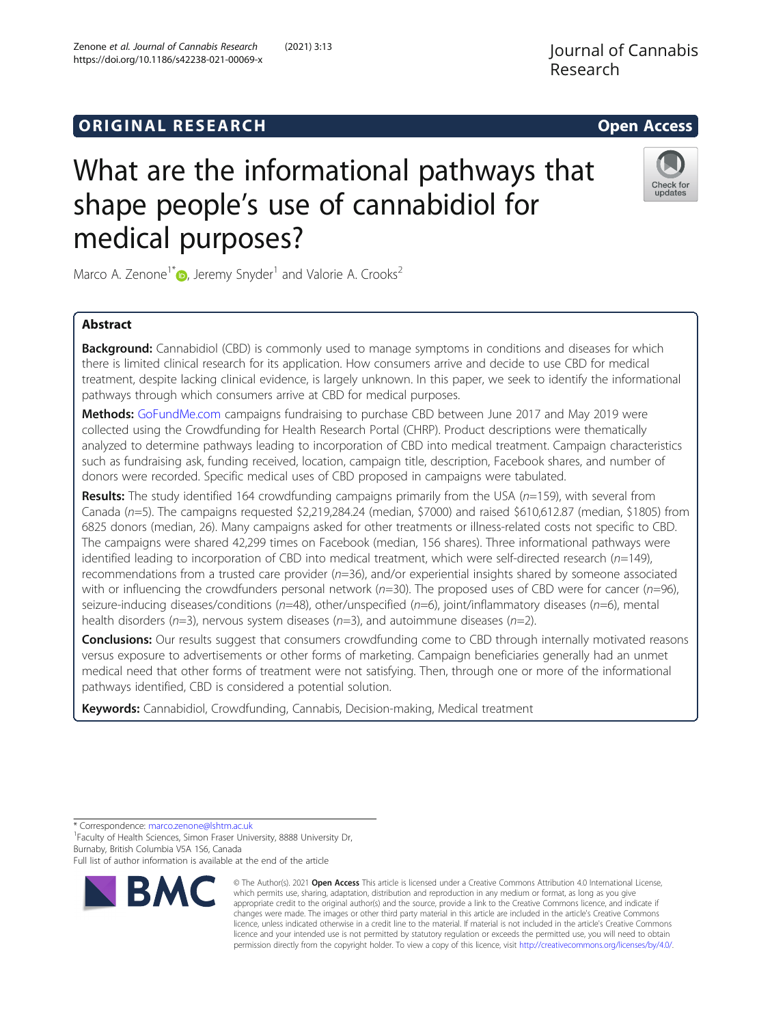# **ORIGINAL RESEARCH CONSERVERS AND ACCESS**

# What are the informational pathways that shape people's use of cannabidiol for medical purposes?

Marco A. Zenone<sup>1\*</sup> $\bullet$ [,](http://orcid.org/0000-0003-4201-6070) Jeremy Snyder<sup>1</sup> and Valorie A. Crooks<sup>2</sup>

# Abstract

**Background:** Cannabidiol (CBD) is commonly used to manage symptoms in conditions and diseases for which there is limited clinical research for its application. How consumers arrive and decide to use CBD for medical treatment, despite lacking clinical evidence, is largely unknown. In this paper, we seek to identify the informational pathways through which consumers arrive at CBD for medical purposes.

Methods: [GoFundMe.com](http://gofundme.com) campaigns fundraising to purchase CBD between June 2017 and May 2019 were collected using the Crowdfunding for Health Research Portal (CHRP). Product descriptions were thematically analyzed to determine pathways leading to incorporation of CBD into medical treatment. Campaign characteristics such as fundraising ask, funding received, location, campaign title, description, Facebook shares, and number of donors were recorded. Specific medical uses of CBD proposed in campaigns were tabulated.

Results: The study identified 164 crowdfunding campaigns primarily from the USA ( $n=159$ ), with several from Canada (n=5). The campaigns requested \$2,219,284.24 (median, \$7000) and raised \$610,612.87 (median, \$1805) from 6825 donors (median, 26). Many campaigns asked for other treatments or illness-related costs not specific to CBD. The campaigns were shared 42,299 times on Facebook (median, 156 shares). Three informational pathways were identified leading to incorporation of CBD into medical treatment, which were self-directed research ( $n=149$ ), recommendations from a trusted care provider (n=36), and/or experiential insights shared by someone associated with or influencing the crowdfunders personal network ( $n=30$ ). The proposed uses of CBD were for cancer ( $n=96$ ), seizure-inducing diseases/conditions ( $n=48$ ), other/unspecified ( $n=6$ ), joint/inflammatory diseases ( $n=6$ ), mental health disorders ( $n=3$ ), nervous system diseases ( $n=3$ ), and autoimmune diseases ( $n=2$ ).

**Conclusions:** Our results suggest that consumers crowdfunding come to CBD through internally motivated reasons versus exposure to advertisements or other forms of marketing. Campaign beneficiaries generally had an unmet medical need that other forms of treatment were not satisfying. Then, through one or more of the informational pathways identified, CBD is considered a potential solution.

Keywords: Cannabidiol, Crowdfunding, Cannabis, Decision-making, Medical treatment

\* Correspondence: [marco.zenone@lshtm.ac.uk](mailto:marco.zenone@lshtm.ac.uk) <sup>1</sup>

**BMC** 

<sup>1</sup> Faculty of Health Sciences, Simon Fraser University, 8888 University Dr, Burnaby, British Columbia V5A 1S6, Canada

Full list of author information is available at the end of the article

© The Author(s). 2021 Open Access This article is licensed under a Creative Commons Attribution 4.0 International License, which permits use, sharing, adaptation, distribution and reproduction in any medium or format, as long as you give appropriate credit to the original author(s) and the source, provide a link to the Creative Commons licence, and indicate if changes were made. The images or other third party material in this article are included in the article's Creative Commons licence, unless indicated otherwise in a credit line to the material. If material is not included in the article's Creative Commons licence and your intended use is not permitted by statutory regulation or exceeds the permitted use, you will need to obtain permission directly from the copyright holder. To view a copy of this licence, visit [http://creativecommons.org/licenses/by/4.0/.](http://creativecommons.org/licenses/by/4.0/)

Zenone et al. Journal of Cannabis Research (2021) 3:13 https://doi.org/10.1186/s42238-021-00069-x



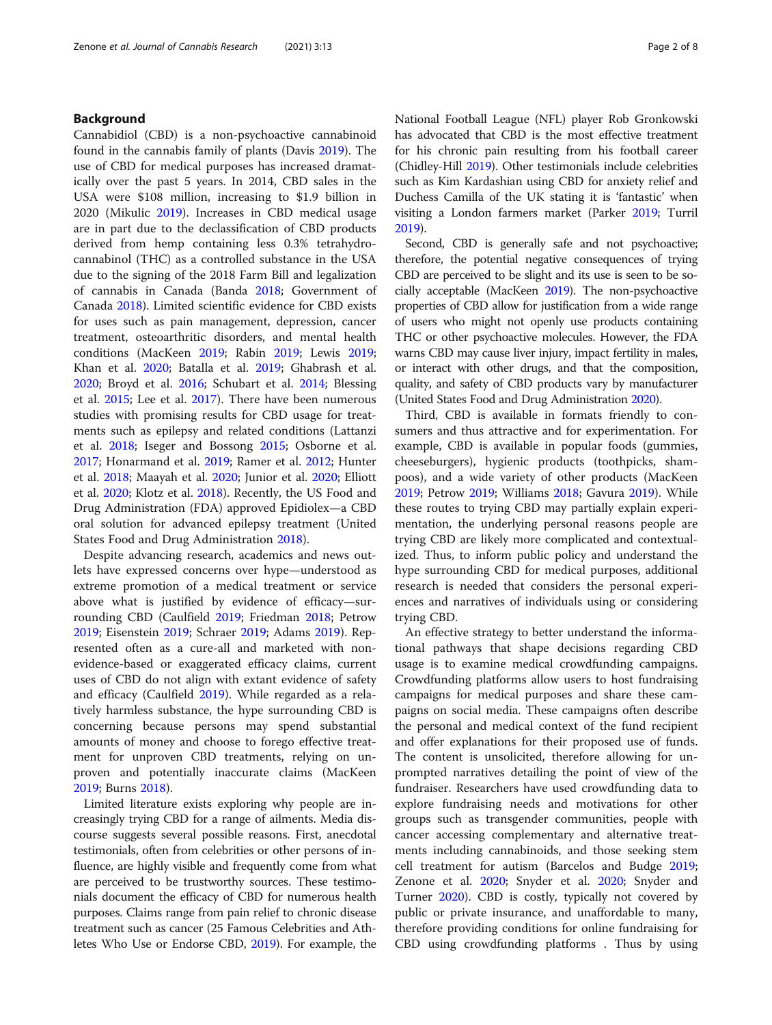## Background

Cannabidiol (CBD) is a non-psychoactive cannabinoid found in the cannabis family of plants (Davis [2019\)](#page-6-0). The use of CBD for medical purposes has increased dramatically over the past 5 years. In 2014, CBD sales in the USA were \$108 million, increasing to \$1.9 billion in 2020 (Mikulic [2019\)](#page-6-0). Increases in CBD medical usage are in part due to the declassification of CBD products derived from hemp containing less 0.3% tetrahydrocannabinol (THC) as a controlled substance in the USA due to the signing of the 2018 Farm Bill and legalization of cannabis in Canada (Banda [2018;](#page-5-0) Government of Canada [2018\)](#page-6-0). Limited scientific evidence for CBD exists for uses such as pain management, depression, cancer treatment, osteoarthritic disorders, and mental health conditions (MacKeen [2019](#page-6-0); Rabin [2019](#page-6-0); Lewis [2019](#page-6-0); Khan et al. [2020](#page-6-0); Batalla et al. [2019;](#page-5-0) Ghabrash et al. [2020](#page-6-0); Broyd et al. [2016](#page-5-0); Schubart et al. [2014;](#page-6-0) Blessing et al. [2015](#page-5-0); Lee et al. [2017](#page-6-0)). There have been numerous studies with promising results for CBD usage for treatments such as epilepsy and related conditions (Lattanzi et al. [2018;](#page-6-0) Iseger and Bossong [2015](#page-6-0); Osborne et al. [2017](#page-6-0); Honarmand et al. [2019](#page-6-0); Ramer et al. [2012;](#page-6-0) Hunter et al. [2018;](#page-6-0) Maayah et al. [2020](#page-6-0); Junior et al. [2020](#page-6-0); Elliott et al. [2020](#page-6-0); Klotz et al. [2018\)](#page-6-0). Recently, the US Food and Drug Administration (FDA) approved Epidiolex—a CBD oral solution for advanced epilepsy treatment (United States Food and Drug Administration [2018\)](#page-7-0).

Despite advancing research, academics and news outlets have expressed concerns over hype—understood as extreme promotion of a medical treatment or service above what is justified by evidence of efficacy—surrounding CBD (Caulfield [2019;](#page-5-0) Friedman [2018](#page-6-0); Petrow [2019](#page-6-0); Eisenstein [2019;](#page-6-0) Schraer [2019](#page-6-0); Adams [2019\)](#page-5-0). Represented often as a cure-all and marketed with nonevidence-based or exaggerated efficacy claims, current uses of CBD do not align with extant evidence of safety and efficacy (Caulfield [2019](#page-5-0)). While regarded as a relatively harmless substance, the hype surrounding CBD is concerning because persons may spend substantial amounts of money and choose to forego effective treatment for unproven CBD treatments, relying on unproven and potentially inaccurate claims (MacKeen [2019](#page-6-0); Burns [2018](#page-5-0)).

Limited literature exists exploring why people are increasingly trying CBD for a range of ailments. Media discourse suggests several possible reasons. First, anecdotal testimonials, often from celebrities or other persons of influence, are highly visible and frequently come from what are perceived to be trustworthy sources. These testimonials document the efficacy of CBD for numerous health purposes. Claims range from pain relief to chronic disease treatment such as cancer (25 Famous Celebrities and Athletes Who Use or Endorse CBD, [2019\)](#page-6-0). For example, the National Football League (NFL) player Rob Gronkowski has advocated that CBD is the most effective treatment for his chronic pain resulting from his football career (Chidley-Hill [2019](#page-6-0)). Other testimonials include celebrities such as Kim Kardashian using CBD for anxiety relief and Duchess Camilla of the UK stating it is 'fantastic' when visiting a London farmers market (Parker [2019](#page-6-0); Turril [2019\)](#page-6-0).

Second, CBD is generally safe and not psychoactive; therefore, the potential negative consequences of trying CBD are perceived to be slight and its use is seen to be socially acceptable (MacKeen [2019](#page-6-0)). The non-psychoactive properties of CBD allow for justification from a wide range of users who might not openly use products containing THC or other psychoactive molecules. However, the FDA warns CBD may cause liver injury, impact fertility in males, or interact with other drugs, and that the composition, quality, and safety of CBD products vary by manufacturer (United States Food and Drug Administration [2020\)](#page-7-0).

Third, CBD is available in formats friendly to consumers and thus attractive and for experimentation. For example, CBD is available in popular foods (gummies, cheeseburgers), hygienic products (toothpicks, shampoos), and a wide variety of other products (MacKeen [2019](#page-6-0); Petrow [2019;](#page-6-0) Williams [2018;](#page-7-0) Gavura [2019](#page-6-0)). While these routes to trying CBD may partially explain experimentation, the underlying personal reasons people are trying CBD are likely more complicated and contextualized. Thus, to inform public policy and understand the hype surrounding CBD for medical purposes, additional research is needed that considers the personal experiences and narratives of individuals using or considering trying CBD.

An effective strategy to better understand the informational pathways that shape decisions regarding CBD usage is to examine medical crowdfunding campaigns. Crowdfunding platforms allow users to host fundraising campaigns for medical purposes and share these campaigns on social media. These campaigns often describe the personal and medical context of the fund recipient and offer explanations for their proposed use of funds. The content is unsolicited, therefore allowing for unprompted narratives detailing the point of view of the fundraiser. Researchers have used crowdfunding data to explore fundraising needs and motivations for other groups such as transgender communities, people with cancer accessing complementary and alternative treatments including cannabinoids, and those seeking stem cell treatment for autism (Barcelos and Budge [2019](#page-5-0); Zenone et al. [2020](#page-7-0); Snyder et al. [2020](#page-6-0); Snyder and Turner [2020](#page-6-0)). CBD is costly, typically not covered by public or private insurance, and unaffordable to many, therefore providing conditions for online fundraising for CBD using crowdfunding platforms . Thus by using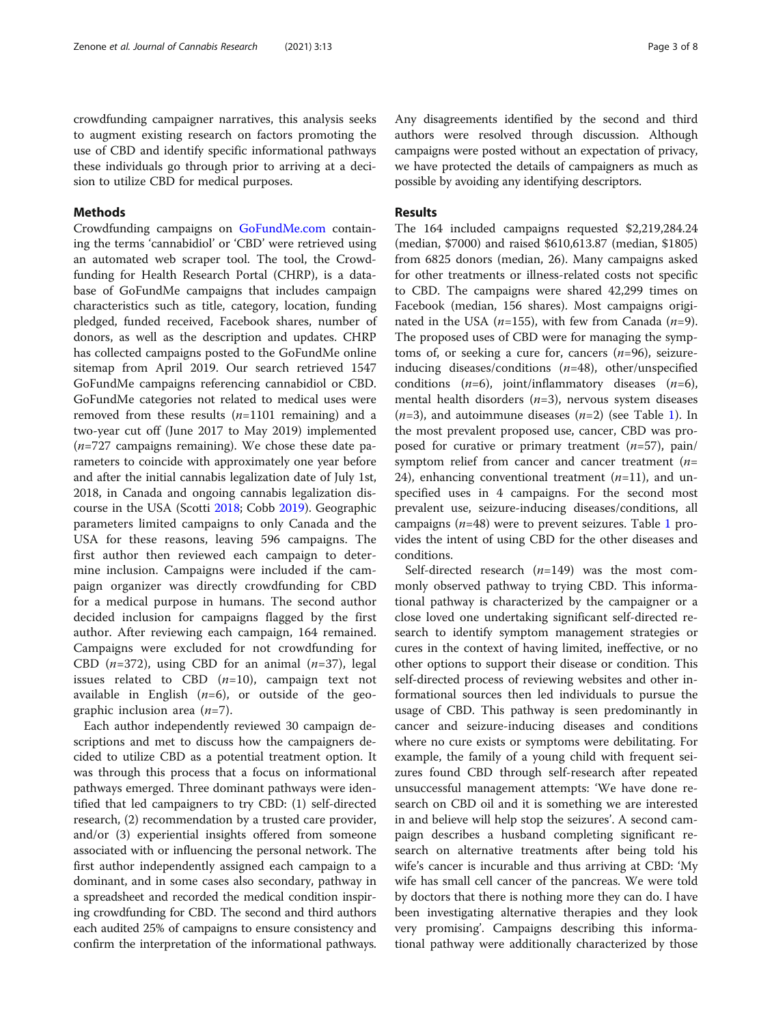crowdfunding campaigner narratives, this analysis seeks to augment existing research on factors promoting the use of CBD and identify specific informational pathways these individuals go through prior to arriving at a decision to utilize CBD for medical purposes.

# Methods

Crowdfunding campaigns on [GoFundMe.com](http://gofundme.com) containing the terms 'cannabidiol' or 'CBD' were retrieved using an automated web scraper tool. The tool, the Crowdfunding for Health Research Portal (CHRP), is a database of GoFundMe campaigns that includes campaign characteristics such as title, category, location, funding pledged, funded received, Facebook shares, number of donors, as well as the description and updates. CHRP has collected campaigns posted to the GoFundMe online sitemap from April 2019. Our search retrieved 1547 GoFundMe campaigns referencing cannabidiol or CBD. GoFundMe categories not related to medical uses were removed from these results  $(n=1101 \text{ remaining})$  and a two-year cut off (June 2017 to May 2019) implemented  $(n=727)$  campaigns remaining). We chose these date parameters to coincide with approximately one year before and after the initial cannabis legalization date of July 1st, 2018, in Canada and ongoing cannabis legalization discourse in the USA (Scotti [2018](#page-6-0); Cobb [2019](#page-6-0)). Geographic parameters limited campaigns to only Canada and the USA for these reasons, leaving 596 campaigns. The first author then reviewed each campaign to determine inclusion. Campaigns were included if the campaign organizer was directly crowdfunding for CBD for a medical purpose in humans. The second author decided inclusion for campaigns flagged by the first author. After reviewing each campaign, 164 remained. Campaigns were excluded for not crowdfunding for CBD ( $n=372$ ), using CBD for an animal ( $n=37$ ), legal issues related to CBD  $(n=10)$ , campaign text not available in English  $(n=6)$ , or outside of the geographic inclusion area  $(n=7)$ .

Each author independently reviewed 30 campaign descriptions and met to discuss how the campaigners decided to utilize CBD as a potential treatment option. It was through this process that a focus on informational pathways emerged. Three dominant pathways were identified that led campaigners to try CBD: (1) self-directed research, (2) recommendation by a trusted care provider, and/or (3) experiential insights offered from someone associated with or influencing the personal network. The first author independently assigned each campaign to a dominant, and in some cases also secondary, pathway in a spreadsheet and recorded the medical condition inspiring crowdfunding for CBD. The second and third authors each audited 25% of campaigns to ensure consistency and confirm the interpretation of the informational pathways.

Any disagreements identified by the second and third authors were resolved through discussion. Although campaigns were posted without an expectation of privacy, we have protected the details of campaigners as much as possible by avoiding any identifying descriptors.

# Results

The 164 included campaigns requested \$2,219,284.24 (median, \$7000) and raised \$610,613.87 (median, \$1805) from 6825 donors (median, 26). Many campaigns asked for other treatments or illness-related costs not specific to CBD. The campaigns were shared 42,299 times on Facebook (median, 156 shares). Most campaigns originated in the USA ( $n=155$ ), with few from Canada ( $n=9$ ). The proposed uses of CBD were for managing the symptoms of, or seeking a cure for, cancers  $(n=96)$ , seizureinducing diseases/conditions  $(n=48)$ , other/unspecified conditions  $(n=6)$ , joint/inflammatory diseases  $(n=6)$ , mental health disorders  $(n=3)$ , nervous system diseases  $(n=3)$ , and autoimmune diseases  $(n=2)$  (see Table [1\)](#page-3-0). In the most prevalent proposed use, cancer, CBD was proposed for curative or primary treatment  $(n=57)$ , pain/ symptom relief from cancer and cancer treatment  $(n=$ 24), enhancing conventional treatment  $(n=11)$ , and unspecified uses in 4 campaigns. For the second most prevalent use, seizure-inducing diseases/conditions, all campaigns  $(n=48)$  were to prevent seizures. Table [1](#page-3-0) provides the intent of using CBD for the other diseases and conditions.

Self-directed research  $(n=149)$  was the most commonly observed pathway to trying CBD. This informational pathway is characterized by the campaigner or a close loved one undertaking significant self-directed research to identify symptom management strategies or cures in the context of having limited, ineffective, or no other options to support their disease or condition. This self-directed process of reviewing websites and other informational sources then led individuals to pursue the usage of CBD. This pathway is seen predominantly in cancer and seizure-inducing diseases and conditions where no cure exists or symptoms were debilitating. For example, the family of a young child with frequent seizures found CBD through self-research after repeated unsuccessful management attempts: 'We have done research on CBD oil and it is something we are interested in and believe will help stop the seizures'. A second campaign describes a husband completing significant research on alternative treatments after being told his wife's cancer is incurable and thus arriving at CBD: 'My wife has small cell cancer of the pancreas. We were told by doctors that there is nothing more they can do. I have been investigating alternative therapies and they look very promising'. Campaigns describing this informational pathway were additionally characterized by those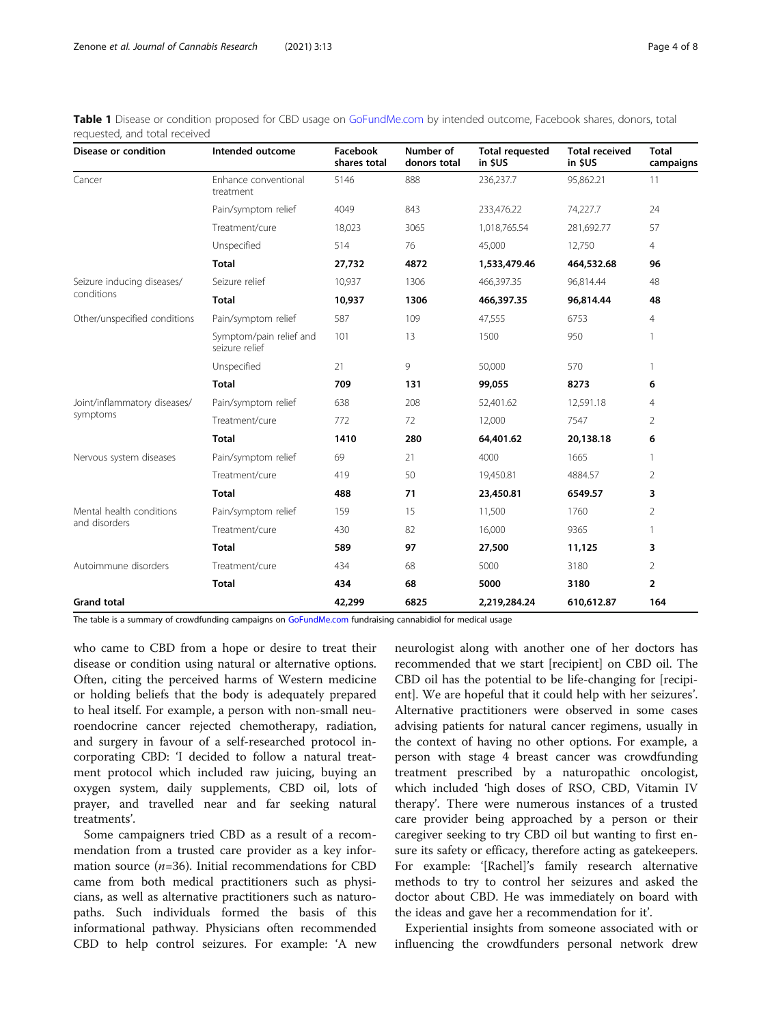<span id="page-3-0"></span>Table 1 Disease or condition proposed for CBD usage on [GoFundMe.com](http://gofundme.com) by intended outcome, Facebook shares, donors, total requested, and total received

| Disease or condition                      | Intended outcome                          | Facebook<br>shares total | Number of<br>donors total | <b>Total requested</b><br>in SUS | <b>Total received</b><br>in SUS | <b>Total</b><br>campaigns |
|-------------------------------------------|-------------------------------------------|--------------------------|---------------------------|----------------------------------|---------------------------------|---------------------------|
| Cancer                                    | Enhance conventional<br>treatment         | 5146                     | 888                       | 236,237.7                        | 95,862.21                       | 11                        |
|                                           | Pain/symptom relief                       | 4049                     | 843                       | 233,476.22                       | 74,227.7                        | 24                        |
|                                           | Treatment/cure                            | 18,023                   | 3065                      | 1,018,765.54                     | 281,692.77                      | 57                        |
|                                           | Unspecified                               | 514                      | 76                        | 45,000                           | 12,750                          | $\overline{4}$            |
|                                           | <b>Total</b>                              | 27,732                   | 4872                      | 1,533,479.46                     | 464,532.68                      | 96                        |
| Seizure inducing diseases/<br>conditions  | Seizure relief                            | 10,937                   | 1306                      | 466,397.35                       | 96,814.44                       | 48                        |
|                                           | <b>Total</b>                              | 10,937                   | 1306                      | 466,397.35                       | 96,814.44                       | 48                        |
| Other/unspecified conditions              | Pain/symptom relief                       | 587                      | 109                       | 47,555                           | 6753                            | $\overline{4}$            |
|                                           | Symptom/pain relief and<br>seizure relief | 101                      | 13                        | 1500                             | 950                             | 1                         |
|                                           | Unspecified                               | 21                       | 9                         | 50,000                           | 570                             | 1                         |
|                                           | <b>Total</b>                              | 709                      | 131                       | 99,055                           | 8273                            | 6                         |
| Joint/inflammatory diseases/<br>symptoms  | Pain/symptom relief                       | 638                      | 208                       | 52,401.62                        | 12,591.18                       | 4                         |
|                                           | Treatment/cure                            | 772                      | 72                        | 12,000                           | 7547                            | 2                         |
|                                           | <b>Total</b>                              | 1410                     | 280                       | 64,401.62                        | 20,138.18                       | 6                         |
| Nervous system diseases                   | Pain/symptom relief                       | 69                       | 21                        | 4000                             | 1665                            | 1                         |
|                                           | Treatment/cure                            | 419                      | 50                        | 19,450.81                        | 4884.57                         | 2                         |
|                                           | <b>Total</b>                              | 488                      | 71                        | 23,450.81                        | 6549.57                         | 3                         |
| Mental health conditions<br>and disorders | Pain/symptom relief                       | 159                      | 15                        | 11,500                           | 1760                            | $\overline{2}$            |
|                                           | Treatment/cure                            | 430                      | 82                        | 16,000                           | 9365                            | 1                         |
|                                           | <b>Total</b>                              | 589                      | 97                        | 27,500                           | 11,125                          | 3                         |
| Autoimmune disorders                      | Treatment/cure                            | 434                      | 68                        | 5000                             | 3180                            | $\overline{2}$            |
|                                           | <b>Total</b>                              | 434                      | 68                        | 5000                             | 3180                            | $\overline{2}$            |
| <b>Grand total</b>                        |                                           | 42,299                   | 6825                      | 2,219,284.24                     | 610,612.87                      | 164                       |

The table is a summary of crowdfunding campaigns on [GoFundMe.com](http://gofundme.com) fundraising cannabidiol for medical usage

who came to CBD from a hope or desire to treat their disease or condition using natural or alternative options. Often, citing the perceived harms of Western medicine or holding beliefs that the body is adequately prepared to heal itself. For example, a person with non-small neuroendocrine cancer rejected chemotherapy, radiation, and surgery in favour of a self-researched protocol incorporating CBD: 'I decided to follow a natural treatment protocol which included raw juicing, buying an oxygen system, daily supplements, CBD oil, lots of prayer, and travelled near and far seeking natural treatments'.

Some campaigners tried CBD as a result of a recommendation from a trusted care provider as a key information source  $(n=36)$ . Initial recommendations for CBD came from both medical practitioners such as physicians, as well as alternative practitioners such as naturopaths. Such individuals formed the basis of this informational pathway. Physicians often recommended CBD to help control seizures. For example: 'A new

neurologist along with another one of her doctors has recommended that we start [recipient] on CBD oil. The CBD oil has the potential to be life-changing for [recipient]. We are hopeful that it could help with her seizures'. Alternative practitioners were observed in some cases advising patients for natural cancer regimens, usually in the context of having no other options. For example, a person with stage 4 breast cancer was crowdfunding treatment prescribed by a naturopathic oncologist, which included 'high doses of RSO, CBD, Vitamin IV therapy'. There were numerous instances of a trusted care provider being approached by a person or their caregiver seeking to try CBD oil but wanting to first ensure its safety or efficacy, therefore acting as gatekeepers. For example: '[Rachel]'s family research alternative methods to try to control her seizures and asked the doctor about CBD. He was immediately on board with the ideas and gave her a recommendation for it'.

Experiential insights from someone associated with or influencing the crowdfunders personal network drew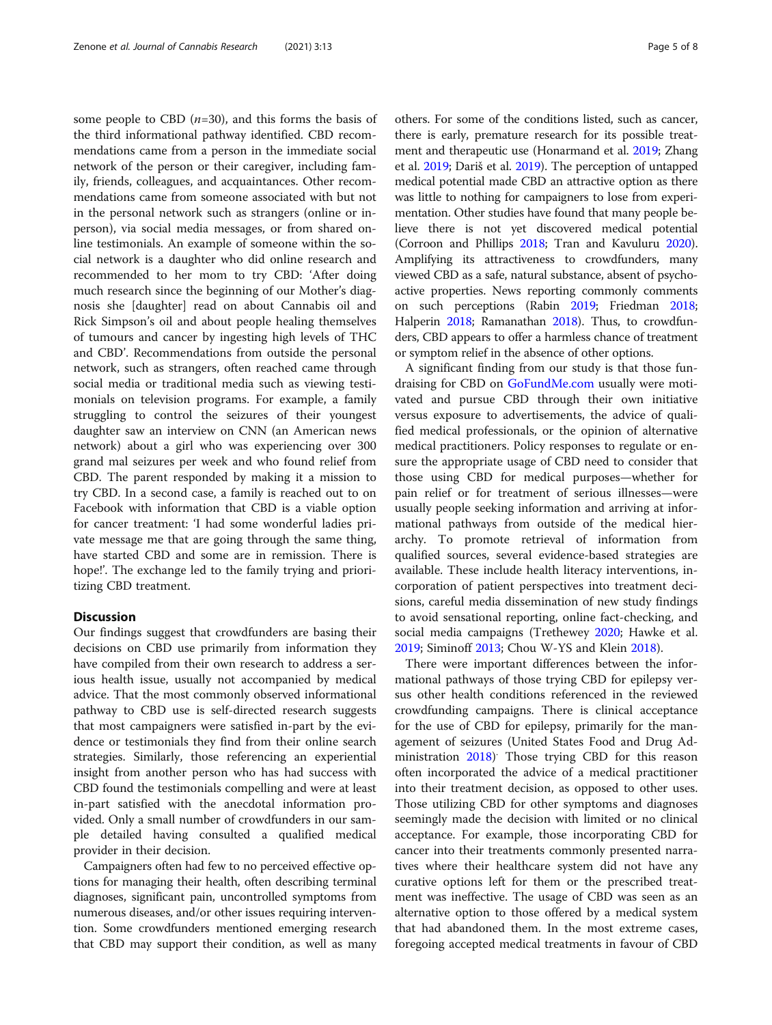some people to CBD  $(n=30)$ , and this forms the basis of the third informational pathway identified. CBD recommendations came from a person in the immediate social network of the person or their caregiver, including family, friends, colleagues, and acquaintances. Other recommendations came from someone associated with but not in the personal network such as strangers (online or inperson), via social media messages, or from shared online testimonials. An example of someone within the social network is a daughter who did online research and recommended to her mom to try CBD: 'After doing much research since the beginning of our Mother's diagnosis she [daughter] read on about Cannabis oil and Rick Simpson's oil and about people healing themselves of tumours and cancer by ingesting high levels of THC and CBD'. Recommendations from outside the personal network, such as strangers, often reached came through social media or traditional media such as viewing testimonials on television programs. For example, a family struggling to control the seizures of their youngest daughter saw an interview on CNN (an American news network) about a girl who was experiencing over 300 grand mal seizures per week and who found relief from CBD. The parent responded by making it a mission to try CBD. In a second case, a family is reached out to on Facebook with information that CBD is a viable option for cancer treatment: 'I had some wonderful ladies private message me that are going through the same thing, have started CBD and some are in remission. There is hope!'. The exchange led to the family trying and prioritizing CBD treatment.

#### **Discussion**

Our findings suggest that crowdfunders are basing their decisions on CBD use primarily from information they have compiled from their own research to address a serious health issue, usually not accompanied by medical advice. That the most commonly observed informational pathway to CBD use is self-directed research suggests that most campaigners were satisfied in-part by the evidence or testimonials they find from their online search strategies. Similarly, those referencing an experiential insight from another person who has had success with CBD found the testimonials compelling and were at least in-part satisfied with the anecdotal information provided. Only a small number of crowdfunders in our sample detailed having consulted a qualified medical provider in their decision.

Campaigners often had few to no perceived effective options for managing their health, often describing terminal diagnoses, significant pain, uncontrolled symptoms from numerous diseases, and/or other issues requiring intervention. Some crowdfunders mentioned emerging research that CBD may support their condition, as well as many

others. For some of the conditions listed, such as cancer, there is early, premature research for its possible treatment and therapeutic use (Honarmand et al. [2019;](#page-6-0) Zhang et al. [2019](#page-7-0); Dariš et al. [2019](#page-6-0)). The perception of untapped medical potential made CBD an attractive option as there was little to nothing for campaigners to lose from experimentation. Other studies have found that many people believe there is not yet discovered medical potential (Corroon and Phillips [2018](#page-6-0); Tran and Kavuluru [2020](#page-6-0)). Amplifying its attractiveness to crowdfunders, many viewed CBD as a safe, natural substance, absent of psychoactive properties. News reporting commonly comments on such perceptions (Rabin [2019;](#page-6-0) Friedman [2018](#page-6-0); Halperin [2018](#page-6-0); Ramanathan [2018\)](#page-6-0). Thus, to crowdfunders, CBD appears to offer a harmless chance of treatment or symptom relief in the absence of other options.

A significant finding from our study is that those fundraising for CBD on [GoFundMe.com](http://gofundme.com) usually were motivated and pursue CBD through their own initiative versus exposure to advertisements, the advice of qualified medical professionals, or the opinion of alternative medical practitioners. Policy responses to regulate or ensure the appropriate usage of CBD need to consider that those using CBD for medical purposes—whether for pain relief or for treatment of serious illnesses—were usually people seeking information and arriving at informational pathways from outside of the medical hierarchy. To promote retrieval of information from qualified sources, several evidence-based strategies are available. These include health literacy interventions, incorporation of patient perspectives into treatment decisions, careful media dissemination of new study findings to avoid sensational reporting, online fact-checking, and social media campaigns (Trethewey [2020;](#page-6-0) Hawke et al. [2019](#page-6-0); Siminoff [2013;](#page-6-0) Chou W-YS and Klein [2018\)](#page-6-0).

There were important differences between the informational pathways of those trying CBD for epilepsy versus other health conditions referenced in the reviewed crowdfunding campaigns. There is clinical acceptance for the use of CBD for epilepsy, primarily for the management of seizures (United States Food and Drug Administration [2018\)](#page-7-0) . Those trying CBD for this reason often incorporated the advice of a medical practitioner into their treatment decision, as opposed to other uses. Those utilizing CBD for other symptoms and diagnoses seemingly made the decision with limited or no clinical acceptance. For example, those incorporating CBD for cancer into their treatments commonly presented narratives where their healthcare system did not have any curative options left for them or the prescribed treatment was ineffective. The usage of CBD was seen as an alternative option to those offered by a medical system that had abandoned them. In the most extreme cases, foregoing accepted medical treatments in favour of CBD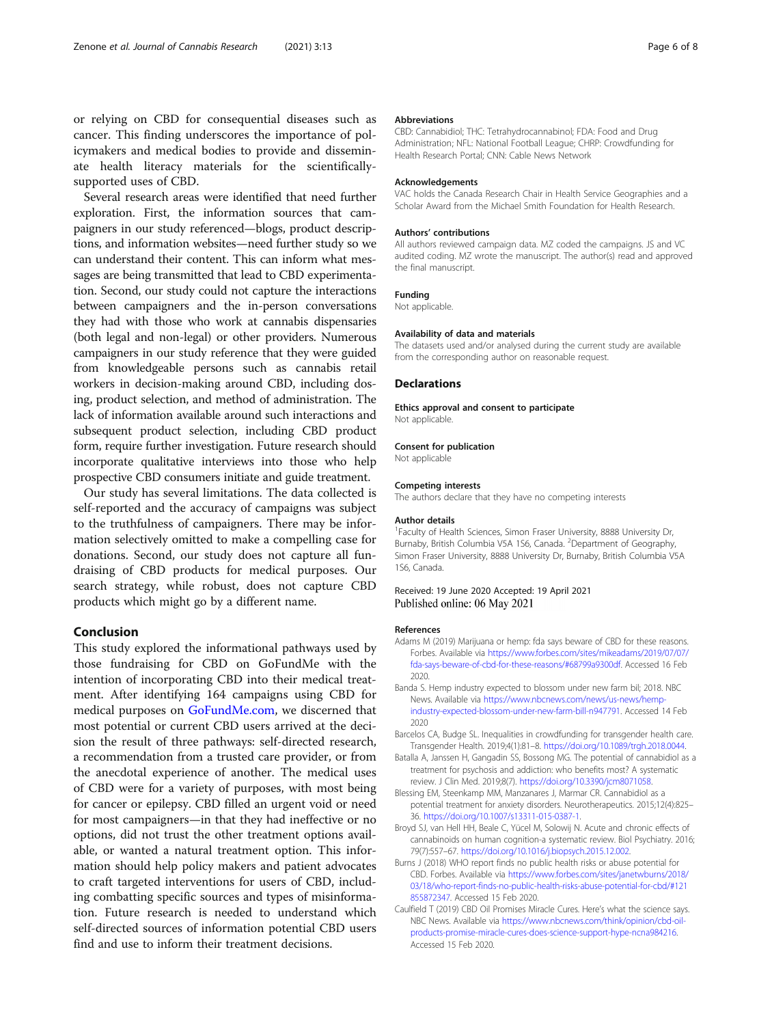<span id="page-5-0"></span>or relying on CBD for consequential diseases such as cancer. This finding underscores the importance of policymakers and medical bodies to provide and disseminate health literacy materials for the scientificallysupported uses of CBD.

Several research areas were identified that need further exploration. First, the information sources that campaigners in our study referenced—blogs, product descriptions, and information websites—need further study so we can understand their content. This can inform what messages are being transmitted that lead to CBD experimentation. Second, our study could not capture the interactions between campaigners and the in-person conversations they had with those who work at cannabis dispensaries (both legal and non-legal) or other providers. Numerous campaigners in our study reference that they were guided from knowledgeable persons such as cannabis retail workers in decision-making around CBD, including dosing, product selection, and method of administration. The lack of information available around such interactions and subsequent product selection, including CBD product form, require further investigation. Future research should incorporate qualitative interviews into those who help prospective CBD consumers initiate and guide treatment.

Our study has several limitations. The data collected is self-reported and the accuracy of campaigns was subject to the truthfulness of campaigners. There may be information selectively omitted to make a compelling case for donations. Second, our study does not capture all fundraising of CBD products for medical purposes. Our search strategy, while robust, does not capture CBD products which might go by a different name.

## Conclusion

This study explored the informational pathways used by those fundraising for CBD on GoFundMe with the intention of incorporating CBD into their medical treatment. After identifying 164 campaigns using CBD for medical purposes on [GoFundMe.com](http://gofundme.com), we discerned that most potential or current CBD users arrived at the decision the result of three pathways: self-directed research, a recommendation from a trusted care provider, or from the anecdotal experience of another. The medical uses of CBD were for a variety of purposes, with most being for cancer or epilepsy. CBD filled an urgent void or need for most campaigners—in that they had ineffective or no options, did not trust the other treatment options available, or wanted a natural treatment option. This information should help policy makers and patient advocates to craft targeted interventions for users of CBD, including combatting specific sources and types of misinformation. Future research is needed to understand which self-directed sources of information potential CBD users find and use to inform their treatment decisions.

#### Abbreviations

CBD: Cannabidiol; THC: Tetrahydrocannabinol; FDA: Food and Drug Administration; NFL: National Football League; CHRP: Crowdfunding for Health Research Portal; CNN: Cable News Network

#### Acknowledgements

VAC holds the Canada Research Chair in Health Service Geographies and a Scholar Award from the Michael Smith Foundation for Health Research.

#### Authors' contributions

All authors reviewed campaign data. MZ coded the campaigns. JS and VC audited coding. MZ wrote the manuscript. The author(s) read and approved the final manuscript.

#### Funding

Not applicable.

#### Availability of data and materials

The datasets used and/or analysed during the current study are available from the corresponding author on reasonable request.

#### **Declarations**

Ethics approval and consent to participate Not applicable.

#### Consent for publication

Not applicable

#### Competing interests

The authors declare that they have no competing interests

#### Author details

<sup>1</sup> Faculty of Health Sciences, Simon Fraser University, 8888 University Dr, Burnaby, British Columbia V5A 1S6, Canada. <sup>2</sup>Department of Geography, Simon Fraser University, 8888 University Dr, Burnaby, British Columbia V5A 1S6, Canada.

#### Received: 19 June 2020 Accepted: 19 April 2021 Published online: 06 May 2021

#### References

- Adams M (2019) Marijuana or hemp: fda says beware of CBD for these reasons. Forbes. Available via [https://www.forbes.com/sites/mikeadams/2019/07/07/](https://www.forbes.com/sites/mikeadams/2019/07/07/fda-says-beware-of-cbd-for-these-reasons/#68799a9300df) [fda-says-beware-of-cbd-for-these-reasons/#68799a9300df](https://www.forbes.com/sites/mikeadams/2019/07/07/fda-says-beware-of-cbd-for-these-reasons/#68799a9300df). Accessed 16 Feb 2020.
- Banda S. Hemp industry expected to blossom under new farm bil; 2018. NBC News. Available via [https://www.nbcnews.com/news/us-news/hemp](https://www.nbcnews.com/news/us-news/hemp-industry-expected-blossom-under-new-farm-bill-n947791)[industry-expected-blossom-under-new-farm-bill-n947791.](https://www.nbcnews.com/news/us-news/hemp-industry-expected-blossom-under-new-farm-bill-n947791) Accessed 14 Feb 2020
- Barcelos CA, Budge SL. Inequalities in crowdfunding for transgender health care. Transgender Health. 2019;4(1):81–8. <https://doi.org/10.1089/trgh.2018.0044>.
- Batalla A, Janssen H, Gangadin SS, Bossong MG. The potential of cannabidiol as a treatment for psychosis and addiction: who benefits most? A systematic review. J Clin Med. 2019;8(7). <https://doi.org/10.3390/jcm8071058>.
- Blessing EM, Steenkamp MM, Manzanares J, Marmar CR. Cannabidiol as a potential treatment for anxiety disorders. Neurotherapeutics. 2015;12(4):825– 36. <https://doi.org/10.1007/s13311-015-0387-1>.
- Broyd SJ, van Hell HH, Beale C, Yücel M, Solowij N. Acute and chronic effects of cannabinoids on human cognition-a systematic review. Biol Psychiatry. 2016; 79(7):557–67. [https://doi.org/10.1016/j.biopsych.2015.12.002.](https://doi.org/10.1016/j.biopsych.2015.12.002)
- Burns J (2018) WHO report finds no public health risks or abuse potential for CBD. Forbes. Available via [https://www.forbes.com/sites/janetwburns/2018/](https://www.forbes.com/sites/janetwburns/2018/03/18/who-report-finds-no-public-health-risks-abuse-potential-for-cbd/#121855872347) [03/18/who-report-finds-no-public-health-risks-abuse-potential-for-cbd/#121](https://www.forbes.com/sites/janetwburns/2018/03/18/who-report-finds-no-public-health-risks-abuse-potential-for-cbd/#121855872347) [855872347](https://www.forbes.com/sites/janetwburns/2018/03/18/who-report-finds-no-public-health-risks-abuse-potential-for-cbd/#121855872347). Accessed 15 Feb 2020.
- Caulfield T (2019) CBD Oil Promises Miracle Cures. Here's what the science says. NBC News. Available via [https://www.nbcnews.com/think/opinion/cbd-oil](https://www.nbcnews.com/think/opinion/cbd-oil-products-promise-miracle-cures-does-science-support-hype-ncna984216)[products-promise-miracle-cures-does-science-support-hype-ncna984216](https://www.nbcnews.com/think/opinion/cbd-oil-products-promise-miracle-cures-does-science-support-hype-ncna984216). Accessed 15 Feb 2020.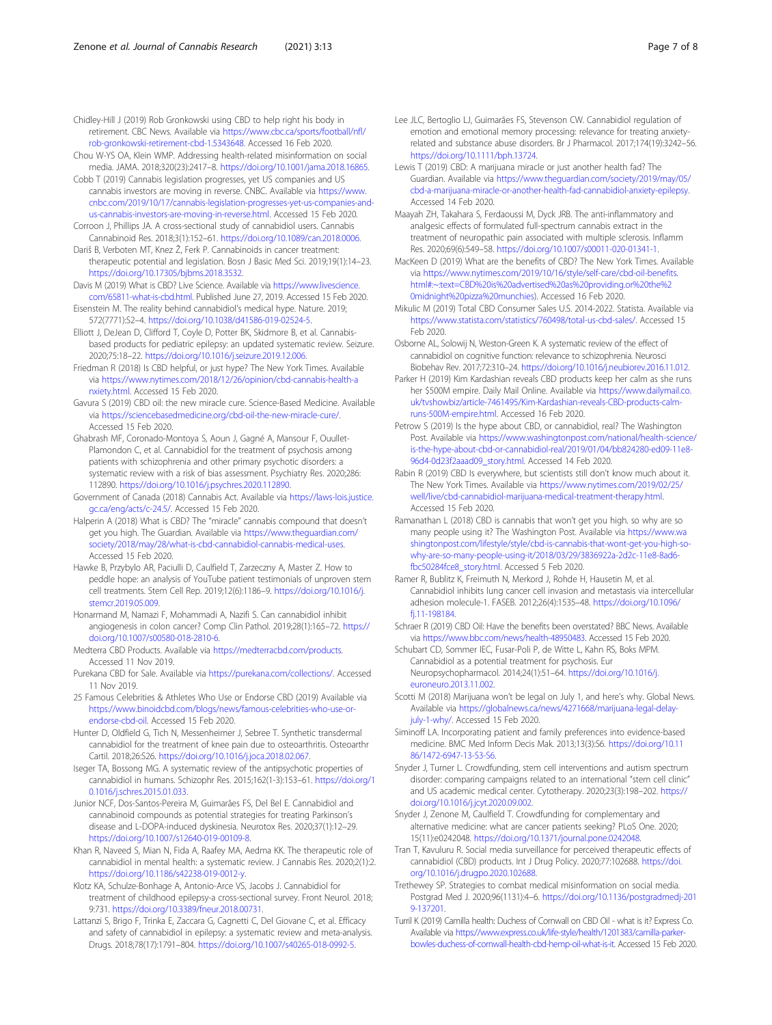<span id="page-6-0"></span>Chidley-Hill J (2019) Rob Gronkowski using CBD to help right his body in retirement. CBC News. Available via [https://www.cbc.ca/sports/football/nfl/](https://www.cbc.ca/sports/football/nfl/rob-gronkowski-retirement-cbd-1.5343648) [rob-gronkowski-retirement-cbd-1.5343648](https://www.cbc.ca/sports/football/nfl/rob-gronkowski-retirement-cbd-1.5343648). Accessed 16 Feb 2020.

- Chou W-YS OA, Klein WMP. Addressing health-related misinformation on social media. JAMA. 2018;320(23):2417–8. <https://doi.org/10.1001/jama.2018.16865>.
- Cobb T (2019) Cannabis legislation progresses, yet US companies and US cannabis investors are moving in reverse. CNBC. Available via [https://www.](https://www.cnbc.com/2019/10/17/cannabis-legislation-progresses-yet-us-companies-and-us-cannabis-investors-are-moving-in-reverse.html) [cnbc.com/2019/10/17/cannabis-legislation-progresses-yet-us-companies-and](https://www.cnbc.com/2019/10/17/cannabis-legislation-progresses-yet-us-companies-and-us-cannabis-investors-are-moving-in-reverse.html)[us-cannabis-investors-are-moving-in-reverse.html.](https://www.cnbc.com/2019/10/17/cannabis-legislation-progresses-yet-us-companies-and-us-cannabis-investors-are-moving-in-reverse.html) Accessed 15 Feb 2020.
- Corroon J, Phillips JA. A cross-sectional study of cannabidiol users. Cannabis Cannabinoid Res. 2018;3(1):152–61. <https://doi.org/10.1089/can.2018.0006>.
- Dariš B, Verboten MT, Knez Ž, Ferk P. Cannabinoids in cancer treatment: therapeutic potential and legislation. Bosn J Basic Med Sci. 2019;19(1):14–23. [https://doi.org/10.17305/bjbms.2018.3532.](https://doi.org/10.17305/bjbms.2018.3532)
- Davis M (2019) What is CBD? Live Science. Available via [https://www.livescience.](https://www.livescience.com/65811-what-is-cbd.html) [com/65811-what-is-cbd.html](https://www.livescience.com/65811-what-is-cbd.html). Published June 27, 2019. Accessed 15 Feb 2020.
- Eisenstein M. The reality behind cannabidiol's medical hype. Nature. 2019; 572(7771):S2–4. [https://doi.org/10.1038/d41586-019-02524-5.](https://doi.org/10.1038/d41586-019-02524-5)
- Elliott J, DeJean D, Clifford T, Coyle D, Potter BK, Skidmore B, et al. Cannabisbased products for pediatric epilepsy: an updated systematic review. Seizure. 2020;75:18–22. [https://doi.org/10.1016/j.seizure.2019.12.006.](https://doi.org/10.1016/j.seizure.2019.12.006)
- Friedman R (2018) Is CBD helpful, or just hype? The New York Times. Available via [https://www.nytimes.com/2018/12/26/opinion/cbd-cannabis-health-a](https://www.nytimes.com/2018/12/26/opinion/cbd-cannabis-health-anxiety.html) [nxiety.html](https://www.nytimes.com/2018/12/26/opinion/cbd-cannabis-health-anxiety.html). Accessed 15 Feb 2020.
- Gavura S (2019) CBD oil: the new miracle cure. Science-Based Medicine. Available via [https://sciencebasedmedicine.org/cbd-oil-the-new-miracle-cure/.](https://sciencebasedmedicine.org/cbd-oil-the-new-miracle-cure/) Accessed 15 Feb 2020.
- Ghabrash MF, Coronado-Montoya S, Aoun J, Gagné A, Mansour F, Ouullet-Plamondon C, et al. Cannabidiol for the treatment of psychosis among patients with schizophrenia and other primary psychotic disorders: a systematic review with a risk of bias assessment. Psychiatry Res. 2020;286: 112890. <https://doi.org/10.1016/j.psychres.2020.112890>.
- Government of Canada (2018) Cannabis Act. Available via [https://laws-lois.justice.](https://laws-lois.justice.gc.ca/eng/acts/c-24.5/) [gc.ca/eng/acts/c-24.5/.](https://laws-lois.justice.gc.ca/eng/acts/c-24.5/) Accessed 15 Feb 2020.
- Halperin A (2018) What is CBD? The "miracle" cannabis compound that doesn't get you high. The Guardian. Available via [https://www.theguardian.com/](https://www.theguardian.com/society/2018/may/28/what-is-cbd-cannabidiol-cannabis-medical-uses) [society/2018/may/28/what-is-cbd-cannabidiol-cannabis-medical-uses.](https://www.theguardian.com/society/2018/may/28/what-is-cbd-cannabidiol-cannabis-medical-uses) Accessed 15 Feb 2020.
- Hawke B, Przybylo AR, Paciulli D, Caulfield T, Zarzeczny A, Master Z. How to peddle hope: an analysis of YouTube patient testimonials of unproven stem cell treatments. Stem Cell Rep. 2019;12(6):1186–9. [https://doi.org/10.1016/j.](https://doi.org/10.1016/j.stemcr.2019.05.009) [stemcr.2019.05.009](https://doi.org/10.1016/j.stemcr.2019.05.009).
- Honarmand M, Namazi F, Mohammadi A, Nazifi S. Can cannabidiol inhibit angiogenesis in colon cancer? Comp Clin Pathol. 2019;28(1):165–72. [https://](https://doi.org/10.1007/s00580-018-2810-6) [doi.org/10.1007/s00580-018-2810-6](https://doi.org/10.1007/s00580-018-2810-6).
- Medterra CBD Products. Available via <https://medterracbd.com/products>. Accessed 11 Nov 2019.
- Purekana CBD for Sale. Available via [https://purekana.com/collections/.](https://purekana.com/collections/) Accessed 11 Nov 2019.
- 25 Famous Celebrities & Athletes Who Use or Endorse CBD (2019) Available via [https://www.binoidcbd.com/blogs/news/famous-celebrities-who-use-or](https://www.binoidcbd.com/blogs/news/famous-celebrities-who-use-or-endorse-cbd-oil)[endorse-cbd-oil](https://www.binoidcbd.com/blogs/news/famous-celebrities-who-use-or-endorse-cbd-oil). Accessed 15 Feb 2020.
- Hunter D, Oldfield G, Tich N, Messenheimer J, Sebree T. Synthetic transdermal cannabidiol for the treatment of knee pain due to osteoarthritis. Osteoarthr Cartil. 2018;26:S26. <https://doi.org/10.1016/j.joca.2018.02.067>.
- Iseger TA, Bossong MG. A systematic review of the antipsychotic properties of cannabidiol in humans. Schizophr Res. 2015;162(1-3):153–61. [https://doi.org/1](https://doi.org/10.1016/j.schres.2015.01.033) [0.1016/j.schres.2015.01.033.](https://doi.org/10.1016/j.schres.2015.01.033)
- Junior NCF, Dos-Santos-Pereira M, Guimarães FS, Del Bel E. Cannabidiol and cannabinoid compounds as potential strategies for treating Parkinson's disease and L-DOPA-induced dyskinesia. Neurotox Res. 2020;37(1):12–29. [https://doi.org/10.1007/s12640-019-00109-8.](https://doi.org/10.1007/s12640-019-00109-8)
- Khan R, Naveed S, Mian N, Fida A, Raafey MA, Aedma KK. The therapeutic role of cannabidiol in mental health: a systematic review. J Cannabis Res. 2020;2(1):2. [https://doi.org/10.1186/s42238-019-0012-y.](https://doi.org/10.1186/s42238-019-0012-y)
- Klotz KA, Schulze-Bonhage A, Antonio-Arce VS, Jacobs J. Cannabidiol for treatment of childhood epilepsy-a cross-sectional survey. Front Neurol. 2018; 9:731. [https://doi.org/10.3389/fneur.2018.00731.](https://doi.org/10.3389/fneur.2018.00731)
- Lattanzi S, Brigo F, Trinka E, Zaccara G, Cagnetti C, Del Giovane C, et al. Efficacy and safety of cannabidiol in epilepsy: a systematic review and meta-analysis. Drugs. 2018;78(17):1791–804. <https://doi.org/10.1007/s40265-018-0992-5>.
- Lee JLC, Bertoglio LJ, Guimarães FS, Stevenson CW. Cannabidiol regulation of emotion and emotional memory processing: relevance for treating anxietyrelated and substance abuse disorders. Br J Pharmacol. 2017;174(19):3242–56. [https://doi.org/10.1111/bph.13724.](https://doi.org/10.1111/bph.13724)
- Lewis T (2019) CBD: A marijuana miracle or just another health fad? The Guardian. Available via [https://www.theguardian.com/society/2019/may/05/](https://www.theguardian.com/society/2019/may/05/cbd-a-marijuana-miracle-or-another-health-fad-cannabidiol-anxiety-epilepsy) [cbd-a-marijuana-miracle-or-another-health-fad-cannabidiol-anxiety-epilepsy](https://www.theguardian.com/society/2019/may/05/cbd-a-marijuana-miracle-or-another-health-fad-cannabidiol-anxiety-epilepsy). Accessed 14 Feb 2020.
- Maayah ZH, Takahara S, Ferdaoussi M, Dyck JRB. The anti-inflammatory and analgesic effects of formulated full-spectrum cannabis extract in the treatment of neuropathic pain associated with multiple sclerosis. Inflamm Res. 2020;69(6):549–58. <https://doi.org/10.1007/s00011-020-01341-1>.
- MacKeen D (2019) What are the benefits of CBD? The New York Times. Available via [https://www.nytimes.com/2019/10/16/style/self-care/cbd-oil-benefits.](https://www.nytimes.com/2019/10/16/style/self-care/cbd-oil-benefits.html#:~:text=CBD%20is%20advertised%20as%20providing.or%20the%20midnight%20pizza%20munchies) [html#:~:text=CBD%20is%20advertised%20as%20providing.or%20the%2](https://www.nytimes.com/2019/10/16/style/self-care/cbd-oil-benefits.html#:~:text=CBD%20is%20advertised%20as%20providing.or%20the%20midnight%20pizza%20munchies) [0midnight%20pizza%20munchies](https://www.nytimes.com/2019/10/16/style/self-care/cbd-oil-benefits.html#:~:text=CBD%20is%20advertised%20as%20providing.or%20the%20midnight%20pizza%20munchies)). Accessed 16 Feb 2020.
- Mikulic M (2019) Total CBD Consumer Sales U.S. 2014-2022. Statista. Available via <https://www.statista.com/statistics/760498/total-us-cbd-sales/>. Accessed 15 Feb 2020.
- Osborne AL, Solowij N, Weston-Green K. A systematic review of the effect of cannabidiol on cognitive function: relevance to schizophrenia. Neurosci Biobehav Rev. 2017;72:310–24. [https://doi.org/10.1016/j.neubiorev.2016.11.012.](https://doi.org/10.1016/j.neubiorev.2016.11.012)
- Parker H (2019) Kim Kardashian reveals CBD products keep her calm as she runs her \$500M empire. Daily Mail Online. Available via [https://www.dailymail.co.](https://www.dailymail.co.uk/tvshowbiz/article-7461495/Kim-Kardashian-reveals-CBD-products-calm-runs-500M-empire.html) [uk/tvshowbiz/article-7461495/Kim-Kardashian-reveals-CBD-products-calm](https://www.dailymail.co.uk/tvshowbiz/article-7461495/Kim-Kardashian-reveals-CBD-products-calm-runs-500M-empire.html)[runs-500M-empire.html](https://www.dailymail.co.uk/tvshowbiz/article-7461495/Kim-Kardashian-reveals-CBD-products-calm-runs-500M-empire.html). Accessed 16 Feb 2020.
- Petrow S (2019) Is the hype about CBD, or cannabidiol, real? The Washington Post. Available via [https://www.washingtonpost.com/national/health-science/](https://www.washingtonpost.com/national/health-science/is-the-hype-about-cbd-or-cannabidiol-real/2019/01/04/bb824280-ed09-11e8-96d4-0d23f2aaad09_story.html) [is-the-hype-about-cbd-or-cannabidiol-real/2019/01/04/bb824280-ed09-11e8-](https://www.washingtonpost.com/national/health-science/is-the-hype-about-cbd-or-cannabidiol-real/2019/01/04/bb824280-ed09-11e8-96d4-0d23f2aaad09_story.html) [96d4-0d23f2aaad09\\_story.html](https://www.washingtonpost.com/national/health-science/is-the-hype-about-cbd-or-cannabidiol-real/2019/01/04/bb824280-ed09-11e8-96d4-0d23f2aaad09_story.html). Accessed 14 Feb 2020.
- Rabin R (2019) CBD Is everywhere, but scientists still don't know much about it. The New York Times. Available via [https://www.nytimes.com/2019/02/25/](https://www.nytimes.com/2019/02/25/well/live/cbd-cannabidiol-marijuana-medical-treatment-therapy.html) [well/live/cbd-cannabidiol-marijuana-medical-treatment-therapy.html](https://www.nytimes.com/2019/02/25/well/live/cbd-cannabidiol-marijuana-medical-treatment-therapy.html). Accessed 15 Feb 2020.
- Ramanathan L (2018) CBD is cannabis that won't get you high. so why are so many people using it? The Washington Post. Available via [https://www.wa](https://www.washingtonpost.com/lifestyle/style/cbd-is-cannabis-that-wont-get-you-high-so-why-are-so-many-people-using-it/2018/03/29/3836922a-2d2c-11e8-8ad6-fbc50284fce8_story.html) [shingtonpost.com/lifestyle/style/cbd-is-cannabis-that-wont-get-you-high-so](https://www.washingtonpost.com/lifestyle/style/cbd-is-cannabis-that-wont-get-you-high-so-why-are-so-many-people-using-it/2018/03/29/3836922a-2d2c-11e8-8ad6-fbc50284fce8_story.html)[why-are-so-many-people-using-it/2018/03/29/3836922a-2d2c-11e8-8ad6](https://www.washingtonpost.com/lifestyle/style/cbd-is-cannabis-that-wont-get-you-high-so-why-are-so-many-people-using-it/2018/03/29/3836922a-2d2c-11e8-8ad6-fbc50284fce8_story.html) [fbc50284fce8\\_story.html](https://www.washingtonpost.com/lifestyle/style/cbd-is-cannabis-that-wont-get-you-high-so-why-are-so-many-people-using-it/2018/03/29/3836922a-2d2c-11e8-8ad6-fbc50284fce8_story.html). Accessed 5 Feb 2020.
- Ramer R, Bublitz K, Freimuth N, Merkord J, Rohde H, Hausetin M, et al. Cannabidiol inhibits lung cancer cell invasion and metastasis via intercellular adhesion molecule-1. FASEB. 2012;26(4):1535–48. [https://doi.org/10.1096/](https://doi.org/10.1096/fj.11-198184) [fj.11-198184.](https://doi.org/10.1096/fj.11-198184)
- Schraer R (2019) CBD Oil: Have the benefits been overstated? BBC News. Available via [https://www.bbc.com/news/health-48950483.](https://www.bbc.com/news/health-48950483) Accessed 15 Feb 2020.
- Schubart CD, Sommer IEC, Fusar-Poli P, de Witte L, Kahn RS, Boks MPM. Cannabidiol as a potential treatment for psychosis. Eur Neuropsychopharmacol. 2014;24(1):51–64. [https://doi.org/10.1016/j.](https://doi.org/10.1016/j.euroneuro.2013.11.002) [euroneuro.2013.11.002.](https://doi.org/10.1016/j.euroneuro.2013.11.002)
- Scotti M (2018) Marijuana won't be legal on July 1, and here's why. Global News. Available via [https://globalnews.ca/news/4271668/marijuana-legal-delay](https://globalnews.ca/news/4271668/marijuana-legal-delay-july-1-why/)[july-1-why/.](https://globalnews.ca/news/4271668/marijuana-legal-delay-july-1-why/) Accessed 15 Feb 2020.
- Siminoff LA. Incorporating patient and family preferences into evidence-based medicine. BMC Med Inform Decis Mak. 2013;13(3):S6. [https://doi.org/10.11](https://doi.org/10.1186/1472-6947-13-S3-S6) [86/1472-6947-13-S3-S6.](https://doi.org/10.1186/1472-6947-13-S3-S6)
- Snyder J, Turner L. Crowdfunding, stem cell interventions and autism spectrum disorder: comparing campaigns related to an international "stem cell clinic" and US academic medical center. Cytotherapy. 2020;23(3):198–202. [https://](https://doi.org/10.1016/j.jcyt.2020.09.002) [doi.org/10.1016/j.jcyt.2020.09.002](https://doi.org/10.1016/j.jcyt.2020.09.002).
- Snyder J, Zenone M, Caulfield T. Crowdfunding for complementary and alternative medicine: what are cancer patients seeking? PLoS One. 2020; 15(11):e0242048. [https://doi.org/10.1371/journal.pone.0242048.](https://doi.org/10.1371/journal.pone.0242048)
- Tran T, Kavuluru R. Social media surveillance for perceived therapeutic effects of cannabidiol (CBD) products. Int J Drug Policy. 2020;77:102688. [https://doi.](https://doi.org/10.1016/j.drugpo.2020.102688) [org/10.1016/j.drugpo.2020.102688](https://doi.org/10.1016/j.drugpo.2020.102688).
- Trethewey SP. Strategies to combat medical misinformation on social media. Postgrad Med J. 2020;96(1131):4–6. [https://doi.org/10.1136/postgradmedj-201](https://doi.org/10.1136/postgradmedj-2019-137201) [9-137201.](https://doi.org/10.1136/postgradmedj-2019-137201)
- Turril K (2019) Camilla health: Duchess of Cornwall on CBD Oil what is it? Express Co. Available via [https://www.express.co.uk/life-style/health/1201383/camilla-parker](https://www.express.co.uk/life-style/health/1201383/camilla-parker-bowles-duchess-of-cornwall-health-cbd-hemp-oil-what-is-it)[bowles-duchess-of-cornwall-health-cbd-hemp-oil-what-is-it.](https://www.express.co.uk/life-style/health/1201383/camilla-parker-bowles-duchess-of-cornwall-health-cbd-hemp-oil-what-is-it) Accessed 15 Feb 2020.